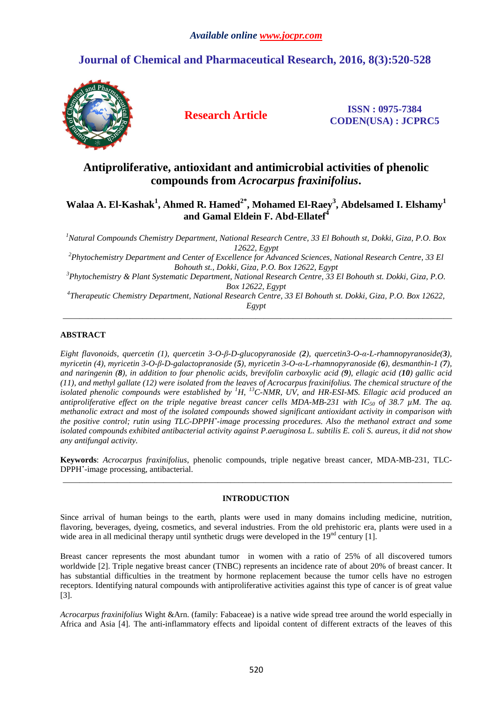# **Journal of Chemical and Pharmaceutical Research, 2016, 8(3):520-528**



**Research Article ISSN : 0975-7384 CODEN(USA) : JCPRC5**

# **Antiproliferative, antioxidant and antimicrobial activities of phenolic compounds from** *Acrocarpus fraxinifolius***.**

# **Walaa A. El-Kashak<sup>1</sup> , Ahmed R. Hamed2\*, Mohamed El-Raey<sup>3</sup> , Abdelsamed I. Elshamy<sup>1</sup> and Gamal Eldein F. Abd-Ellatef<sup>4</sup>**

*<sup>1</sup>Natural Compounds Chemistry Department, National Research Centre, 33 El Bohouth st, Dokki, Giza, P.O. Box 12622, Egypt* 

*<sup>2</sup>Phytochemistry Department and Center of Excellence for Advanced Sciences, National Research Centre, 33 El Bohouth st., Dokki, Giza, P.O. Box 12622, Egypt* 

*<sup>3</sup>Phytochemistry & Plant Systematic Department, National Research Centre, 33 El Bohouth st. Dokki, Giza, P.O. Box 12622, Egypt* 

*4 Therapeutic Chemistry Department, National Research Centre, 33 El Bohouth st. Dokki, Giza, P.O. Box 12622, Egypt*  \_\_\_\_\_\_\_\_\_\_\_\_\_\_\_\_\_\_\_\_\_\_\_\_\_\_\_\_\_\_\_\_\_\_\_\_\_\_\_\_\_\_\_\_\_\_\_\_\_\_\_\_\_\_\_\_\_\_\_\_\_\_\_\_\_\_\_\_\_\_\_\_\_\_\_\_\_\_\_\_\_\_\_\_\_\_\_\_\_\_\_\_\_

# **ABSTRACT**

*Eight flavonoids, quercetin (1), quercetin 3-O-β-D-glucopyranoside (2), quercetin3-O-α-L-rhamnopyranoside(3), myricetin (4), myricetin 3-O-β-D-galactopranoside (5), myricetin 3-O-α-L-rhamnopyranoside (6), desmanthin-1 (7), and naringenin (8), in addition to four phenolic acids, brevifolin carboxylic acid (9), ellagic acid (10) gallic acid (11), and methyl gallate (12) were isolated from the leaves of Acrocarpus fraxinifolius. The chemical structure of the isolated phenolic compounds were established by <sup>1</sup>H, <sup>13</sup>C-NMR, UV, and HR-ESI-MS. Ellagic acid produced an antiproliferative effect on the triple negative breast cancer cells MDA-MB-231 with IC50 of 38.7 µM. The aq. methanolic extract and most of the isolated compounds showed significant antioxidant activity in comparison with the positive control; rutin using TLC-DPPH˙-image processing procedures. Also the methanol extract and some isolated compounds exhibited antibacterial activity against P.aeruginosa L. subtilis E. coli S. aureus, it did not show any antifungal activity.* 

**Keywords**: *Acrocarpus fraxinifolius*, phenolic compounds, triple negative breast cancer, MDA-MB-231, TLC-DPPH**˙**-image processing, antibacterial. \_\_\_\_\_\_\_\_\_\_\_\_\_\_\_\_\_\_\_\_\_\_\_\_\_\_\_\_\_\_\_\_\_\_\_\_\_\_\_\_\_\_\_\_\_\_\_\_\_\_\_\_\_\_\_\_\_\_\_\_\_\_\_\_\_\_\_\_\_\_\_\_\_\_\_\_\_\_\_\_\_\_\_\_\_\_\_\_\_\_\_\_\_

## **INTRODUCTION**

Since arrival of human beings to the earth, plants were used in many domains including medicine, nutrition, flavoring, beverages, dyeing, cosmetics, and several industries. From the old prehistoric era, plants were used in a wide area in all medicinal therapy until synthetic drugs were developed in the  $19<sup>nd</sup>$  century [1].

Breast cancer represents the most abundant tumor in women with a ratio of 25% of all discovered tumors worldwide [2]. Triple negative breast cancer (TNBC) represents an incidence rate of about 20% of breast cancer. It has substantial difficulties in the treatment by hormone replacement because the tumor cells have no estrogen receptors. Identifying natural compounds with antiproliferative activities against this type of cancer is of great value [3].

*Acrocarpus fraxinifolius* Wight &Arn. (family: Fabaceae) is a native wide spread tree around the world especially in Africa and Asia [4]. The anti-inflammatory effects and lipoidal content of different extracts of the leaves of this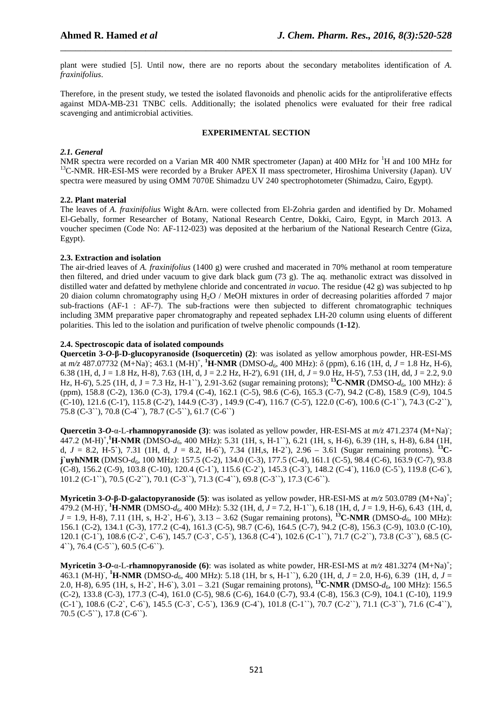plant were studied [5]. Until now, there are no reports about the secondary metabolites identification of *A. fraxinifolius*.

\_\_\_\_\_\_\_\_\_\_\_\_\_\_\_\_\_\_\_\_\_\_\_\_\_\_\_\_\_\_\_\_\_\_\_\_\_\_\_\_\_\_\_\_\_\_\_\_\_\_\_\_\_\_\_\_\_\_\_\_\_\_\_\_\_\_\_\_\_\_\_\_\_\_\_\_\_\_

Therefore, in the present study, we tested the isolated flavonoids and phenolic acids for the antiproliferative effects against MDA-MB-231 TNBC cells. Additionally; the isolated phenolics were evaluated for their free radical scavenging and antimicrobial activities.

## **EXPERIMENTAL SECTION**

## *2.1. General*

NMR spectra were recorded on a Varian MR 400 NMR spectrometer (Japan) at 400 MHz for <sup>1</sup>H and 100 MHz for <sup>13</sup>C-NMR. HR-ESI-MS were recorded by a Bruker APEX II mass spectrometer, Hiroshima University (Japan). UV spectra were measured by using OMM 7070E Shimadzu UV 240 spectrophotometer (Shimadzu, Cairo, Egypt).

## **2.2. Plant material**

The leaves of *A. fraxinifolius* Wight &Arn. were collected from El-Zohria garden and identified by Dr. Mohamed El-Gebally, former Researcher of Botany, National Research Centre, Dokki, Cairo, Egypt, in March 2013. A voucher specimen (Code No: AF-112-023) was deposited at the herbarium of the National Research Centre (Giza, Egypt).

# **2.3. Extraction and isolation**

The air-dried leaves of *A. fraxinifolius* (1400 g) were crushed and macerated in 70% methanol at room temperature then filtered, and dried under vacuum to give dark black gum (73 g). The aq. methanolic extract was dissolved in distilled water and defatted by methylene chloride and concentrated *in vacuo*. The residue (42 g) was subjected to hp 20 diaion column chromatography using H2O / MeOH mixtures in order of decreasing polarities afforded 7 major sub-fractions (AF-1 : AF-7). The sub-fractions were then subjected to different chromatographic techniques including 3MM preparative paper chromatography and repeated sephadex LH-20 column using eluents of different polarities. This led to the isolation and purification of twelve phenolic compounds (**1-12**).

## **2.4. Spectroscopic data of isolated compounds**

**Quercetin 3-***O***-β-D-glucopyranoside (Isoquercetin) (2)**: was isolated as yellow amorphous powder, HR-ESI-MS at *m*/z 487.07732 (M+Na); 463.1 (M-H)<sup>+</sup>, <sup>1</sup>**H-NMR** (DMSO-*d*<sub>6</sub>, 400 MHz): δ (ppm), 6.16 (1H, d, *J* = 1.8 Hz, H-6), 6.38 (1H, d, J = 1.8 Hz, H-8), 7.63 (1H, d, J = 2.2 Hz, H-2'), 6.91 (1H, d, *J* = 9.0 Hz, H-5'), 7.53 (1H, dd, J = 2.2, 9.0 Hz, H-6'), 5.25 (1H, d, J = 7.3 Hz, H-1``), 2.91-3.62 (sugar remaining protons); **<sup>13</sup>C-NMR** (DMSO-*d*6, 100 MHz): δ (ppm), 158.8 (C-2), 136.0 (C-3), 179.4 (C-4), 162.1 (C-5), 98.6 (C-6), 165.3 (C-7), 94.2 (C-8), 158.9 (C-9), 104.5 (C-10), 121.6 (C-1'), 115.8 (C-2'), 144.9 (C-3') , 149.9 (C-4'), 116.7 (C-5'), 122.0 (C-6'), 100.6 (C-1``), 74.3 (C-2``), 75.8 (C-3``), 70.8 (C-4``), 78.7 (C-5``), 61.7 (C-6``)

**Quercetin 3-***O***-**α-L-**rhamnopyranoside** (3): was isolated as yellow powder, HR-ESI-MS at  $m/z$  471.2374 (M+Na); 447.2 (M-H)<sup>+</sup> , **<sup>1</sup>H-NMR** (DMSO-*d*6, 400 MHz): 5.31 (1H, s, H-1``), 6.21 (1H, s, H-6), 6.39 (1H, s, H-8), 6.84 (1H, d,  $J = 8.2$ , H-5'), 7.31 (1H, d,  $J = 8.2$ , H-6'), 7.34 (1H,s, H-2'), 2.96 – 3.61 (Sugar remaining protons). <sup>13</sup>**Cj`uyhNMR** (DMSO-*d*<sub>6</sub>, 100 MHz): 157.5 (C-2), 134.0 (C-3), 177.5 (C-4), 161.1 (C-5), 98.4 (C-6), 163.9 (C-7), 93.8 (C-8), 156.2 (C-9), 103.8 (C-10), 120.4 (C-1`), 115.6 (C-2`), 145.3 (C-3`), 148.2 (C-4`), 116.0 (C-5`), 119.8 (C-6`), 101.2 (C-1``), 70.5 (C-2``), 70.1 (C-3``), 71.3 (C-4``), 69.8 (C-3``), 17.3 (C-6``).

**Myricetin 3-***O***-β-D-galactopyranoside (5**): was isolated as yellow powder, HR-ESI-MS at *m/z* 503.0789 (M+Na)<sup>+</sup>; 479.2 (M-H)- , **<sup>1</sup>H-NMR** (DMSO-*d*6, 400 MHz): 5.32 (1H, d, *J* = 7.2, H-1``), 6.18 (1H, d, *J* = 1.9, H-6), 6.43 (1H, d,  $J = 1.9$ , H-8), 7.11 (1H, s, H-2`, H-6`), 3.13 – 3.62 (Sugar remaining protons), <sup>13</sup>**C-NMR** (DMSO- $d_6$ , 100 MHz): 156.1 (C-2), 134.1 (C-3), 177.2 (C-4), 161.3 (C-5), 98.7 (C-6), 164.5 (C-7), 94.2 (C-8), 156.3 (C-9), 103.0 (C-10), 120.1 (C-1`), 108.6 (C-2`, C-6`), 145.7 (C-3`, C-5`), 136.8 (C-4`), 102.6 (C-1``), 71.7 (C-2``), 73.8 (C-3``), 68.5 (C-4``), 76.4 (C-5``), 60.5 (C-6``).

**Myricetin 3-***O***-**α-L-**rhamnopyranoside (6**): was isolated as white powder, HR-ESI-MS at *m/z* 481.3274 (M+Na)<sup>+</sup>; 463.1 (M-H)<sup>-</sup>, <sup>1</sup>**H-NMR** (DMSO- $d_6$ , 400 MHz): 5.18 (1H, br s, H-1<sup>-\*</sup>), 6.20 (1H, d,  $J = 2.0$ , H-6), 6.39 (1H, d,  $J =$ 2.0, H-8), 6.95 (1H, s, H-2`, H-6`), 3.01 – 3.21 (Sugar remaining protons), **<sup>13</sup>C-NMR** (DMSO-*d*6, 100 MHz): 156.5 (C-2), 133.8 (C-3), 177.3 (C-4), 161.0 (C-5), 98.6 (C-6), 164.0 (C-7), 93.4 (C-8), 156.3 (C-9), 104.1 (C-10), 119.9 (C-1`), 108.6 (C-2`, C-6`), 145.5 (C-3`, C-5`), 136.9 (C-4`), 101.8 (C-1``), 70.7 (C-2``), 71.1 (C-3``), 71.6 (C-4``), 70.5 (C-5``), 17.8 (C-6``).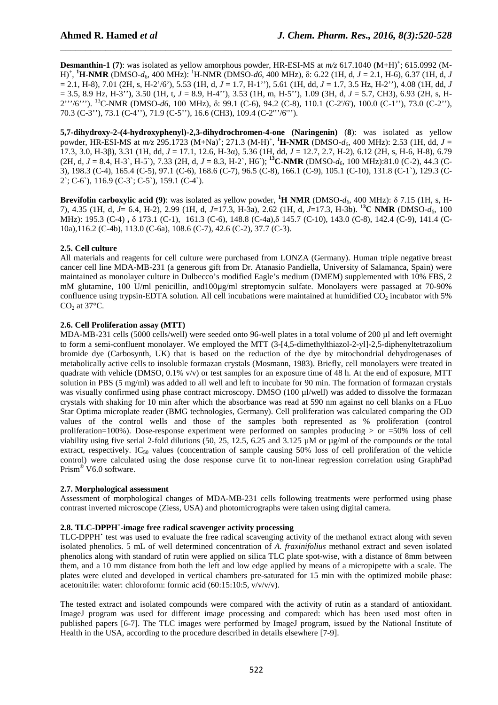**Desmanthin-1** (7): was isolated as yellow amorphous powder, HR-ESI-MS at  $m/z$  617.1040 (M+H)<sup>+</sup>; 615.0992 (M-H)<sup>+</sup> , **<sup>1</sup>H-NMR** (DMSO-*d*6, 400 MHz): <sup>1</sup>H-NMR (DMSO-*d6*, 400 MHz), δ: 6.22 (1H, d, *J* = 2.1, H-6), 6.37 (1H, d, *J*  = 2.1, H-8), 7.01 (2H, s, H-2'/6'), 5.53 (1H, d, *J* = 1.7, H-1''), 5.61 (1H, dd, *J* = 1.7, 3.5 Hz, H-2''), 4.08 (1H, dd, *J*  = 3.5, 8.9 Hz, H-3''), 3.50 (1H, t, *J* = 8.9, H-4''), 3.53 (1H, m, H-5''), 1.09 (3H, d, *J* = 5.7, CH3), 6.93 (2H, s, H-2'''/6'''). <sup>13</sup>C-NMR (DMSO-*d6*, 100 MHz), δ: 99.1 (C-6), 94.2 (C-8), 110.1 (C-2'/6'), 100.0 (C-1''), 73.0 (C-2''), 70.3 (C-3''), 73.1 (C-4''), 71.9 (C-5''), 16.6 (CH3), 109.4 (C-2'''/6''').

\_\_\_\_\_\_\_\_\_\_\_\_\_\_\_\_\_\_\_\_\_\_\_\_\_\_\_\_\_\_\_\_\_\_\_\_\_\_\_\_\_\_\_\_\_\_\_\_\_\_\_\_\_\_\_\_\_\_\_\_\_\_\_\_\_\_\_\_\_\_\_\_\_\_\_\_\_\_

**5,7-dihydroxy-2-(4-hydroxyphenyl)-2,3-dihydrochromen-4-one (Naringenin)** (**8**): was isolated as yellow powder, HR-ESI-MS at  $m/z$  295.1723 (M+Na)<sup>+</sup>; 271.3 (M-H)<sup>+</sup>, <sup>1</sup>H-NMR (DMSO- $d_6$ , 400 MHz): 2.53 (1H, dd, *J* = 17.3, 3.0, H-3β), 3.31 (1H, dd, *J* = 17.1, 12.6, H-3α), 5.36 (1H, dd, *J* = 12.7, 2.7, H-2), 6.12 (2H, s, H-6, H-8), 6.79 (2H, d, *J* = 8.4, H-3`, H-5`), 7.33 (2H, d, *J* = 8.3, H-2`, H6`); **<sup>13</sup>C-NMR** (DMSO-*d*6, 100 MHz):81.0 (C-2), 44.3 (C-3), 198.3 (C-4), 165.4 (C-5), 97.1 (C-6), 168.6 (C-7), 96.5 (C-8), 166.1 (C-9), 105.1 (C-10), 131.8 (C-1`), 129.3 (C-2`; C-6`), 116.9 (C-3`; C-5`), 159.1 (C-4`).

**Brevifolin carboxylic acid (9)**: was isolated as yellow powder, **<sup>1</sup>H NMR** (DMSO-*d*6, 400 MHz): δ 7.15 (1H, s, H-7), 4.35 (1H, d, *J*= 6.4, H-2), 2.99 (1H, d, *J*=17.3, H-3a), 2.62 (1H, d, *J*=17.3, H-3b). **<sup>13</sup>C NMR** (DMSO-*d*6, 100 MHz): 195.3 (C-4) **,** δ 173.1 (C-1), 161.3 (C-6), 148.8 (C-4a),δ 145.7 (C-10), 143.0 (C-8), 142.4 (C-9), 141.4 (C-10a),116.2 (C-4b), 113.0 (C-6a), 108.6 (C-7), 42.6 (C-2), 37.7 (C-3).

# **2.5. Cell culture**

All materials and reagents for cell culture were purchased from LONZA (Germany). Human triple negative breast cancer cell line MDA-MB-231 (a generous gift from Dr. Atanasio Pandiella, University of Salamanca, Spain) were maintained as monolayer culture in Dulbecco's modified Eagle's medium (DMEM) supplemented with 10% FBS, 2 mM glutamine, 100 U/ml penicillin, and100µg/ml streptomycin sulfate. Monolayers were passaged at 70-90% confluence using trypsin-EDTA solution. All cell incubations were maintained at humidified  $CO<sub>2</sub>$  incubator with 5%  $CO<sub>2</sub>$  at 37 $^{\circ}$ C.

# **2.6. Cell Proliferation assay (MTT)**

MDA-MB-231 cells (5000 cells/well) were seeded onto 96-well plates in a total volume of 200 µl and left overnight to form a semi-confluent monolayer. We employed the MTT (3-[4,5-dimethylthiazol-2-yl]-2,5-diphenyltetrazolium bromide dye (Carbosynth, UK) that is based on the reduction of the dye by mitochondrial dehydrogenases of metabolically active cells to insoluble formazan crystals (Mosmann, 1983). Briefly, cell monolayers were treated in quadrate with vehicle (DMSO,  $0.1\%$  v/v) or test samples for an exposure time of 48 h. At the end of exposure, MTT solution in PBS (5 mg/ml) was added to all well and left to incubate for 90 min. The formation of formazan crystals was visually confirmed using phase contract microscopy. DMSO (100 ul/well) was added to dissolve the formazan crystals with shaking for 10 min after which the absorbance was read at 590 nm against no cell blanks on a FLuo Star Optima microplate reader (BMG technologies, Germany). Cell proliferation was calculated comparing the OD values of the control wells and those of the samples both represented as % proliferation (control proliferation=100%). Dose-response experiment were performed on samples producing > or =50% loss of cell viability using five serial 2-fold dilutions (50, 25, 12.5, 6.25 and 3.125 µM or µg/ml of the compounds or the total extract, respectively.  $IC_{50}$  values (concentration of sample causing 50% loss of cell proliferation of the vehicle control) were calculated using the dose response curve fit to non-linear regression correlation using GraphPad Prism<sup>®</sup> V6.0 software.

# **2.7. Morphological assessment**

Assessment of morphological changes of MDA-MB-231 cells following treatments were performed using phase contrast inverted microscope (Ziess, USA) and photomicrographs were taken using digital camera.

## **2.8. TLC-DPPH˙-image free radical scavenger activity processing**

TLC-DPPH**˙** test was used to evaluate the free radical scavenging activity of the methanol extract along with seven isolated phenolics. 5 mL of well determined concentration of *A. fraxinifolius* methanol extract and seven isolated phenolics along with standard of rutin were applied on silica TLC plate spot-wise, with a distance of 8mm between them, and a 10 mm distance from both the left and low edge applied by means of a micropipette with a scale. The plates were eluted and developed in vertical chambers pre-saturated for 15 min with the optimized mobile phase: acetonitrile: water: chloroform: formic acid  $(60:15:10:5, v/v/v/v)$ .

The tested extract and isolated compounds were compared with the activity of rutin as a standard of antioxidant. ImageJ program was used for different image processing and compared: which has been used most often in published papers [6-7]. The TLC images were performed by ImageJ program, issued by the National Institute of Health in the USA, according to the procedure described in details elsewhere [7-9].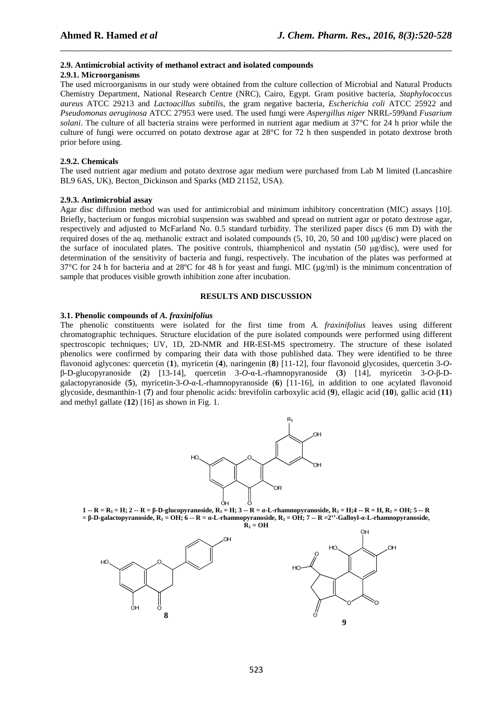#### **2.9. Antimicrobial activity of methanol extract and isolated compounds**

### **2.9.1. Microorganisms**

The used microorganisms in our study were obtained from the culture collection of Microbial and Natural Products Chemistry Department, National Research Centre (NRC), Cairo, Egypt. Gram positive bacteria, *Staphylococcus aureus* ATCC 29213 and *Lactoacillus subtilis*, the gram negative bacteria, *Escherichia coli* ATCC 25922 and *Pseudomonas aeruginosa* ATCC 27953 were used. The used fungi were *Aspergillus niger* NRRL-599and *Fusarium solani*. The culture of all bacteria strains were performed in nutrient agar medium at 37°C for 24 h prior while the culture of fungi were occurred on potato dextrose agar at 28°C for 72 h then suspended in potato dextrose broth prior before using.

\_\_\_\_\_\_\_\_\_\_\_\_\_\_\_\_\_\_\_\_\_\_\_\_\_\_\_\_\_\_\_\_\_\_\_\_\_\_\_\_\_\_\_\_\_\_\_\_\_\_\_\_\_\_\_\_\_\_\_\_\_\_\_\_\_\_\_\_\_\_\_\_\_\_\_\_\_\_

### **2.9.2. Chemicals**

The used nutrient agar medium and potato dextrose agar medium were purchased from Lab M limited (Lancashire BL9 6AS, UK), Becton Dickinson and Sparks (MD 21152, USA).

#### **2.9.3. Antimicrobial assay**

Agar disc diffusion method was used for antimicrobial and minimum inhibitory concentration (MIC) assays [10]. Briefly, bacterium or fungus microbial suspension was swabbed and spread on nutrient agar or potato dextrose agar, respectively and adjusted to McFarland No. 0.5 standard turbidity. The sterilized paper discs (6 mm D) with the required doses of the aq. methanolic extract and isolated compounds (5, 10, 20, 50 and 100 µg/disc) were placed on the surface of inoculated plates. The positive controls, thiamphenicol and nystatin (50 µg/disc), were used for determination of the sensitivity of bacteria and fungi, respectively. The incubation of the plates was performed at 37°C for 24 h for bacteria and at 28°C for 48 h for yeast and fungi. MIC ( $\mu$ g/ml) is the minimum concentration of sample that produces visible growth inhibition zone after incubation.

### **RESULTS AND DISCUSSION**

### **3.1. Phenolic compounds of** *A. fraxinifolius*

The phenolic constituents were isolated for the first time from *A. fraxinifolius* leaves using different chromatographic techniques. Structure elucidation of the pure isolated compounds were performed using different spectroscopic techniques; UV, 1D, 2D-NMR and HR-ESI-MS spectrometry. The structure of these isolated phenolics were confirmed by comparing their data with those published data. They were identified to be three flavonoid aglycones: quercetin (**1**), myricetin (**4**), naringenin (**8**) [11-12], four flavonoid glycosides, quercetin 3-*O*β-D-glucopyranoside (**2**) [13-14], quercetin 3-*O*-α-L-rhamnopyranoside (**3**) [14], myricetin 3-*O*-β-Dgalactopyranoside (**5**), myricetin-3-*O*-α-L-rhamnopyranoside (**6**) [11-16], in addition to one acylated flavonoid glycoside, desmanthin-1 (**7**) and four phenolic acids: brevifolin carboxylic acid (**9**), ellagic acid (**10**), gallic acid (**11**) and methyl gallate (**12**) [16] as shown in Fig. 1.



**1 -- R = R1 = H; 2 -- R = β-D-glucopyranoside, R1 = H; 3 -- R = α-L-rhamnopyranoside, R1 = H;4 -- R = H, R1 = OH; 5 -- R**   $= \beta$ **-D-galactopyranoside,**  $R_1 = OH$ **;**  $\dot{\bf{6}} - R = a$ **<b>-L-rhamnopyranoside,**  $R_1 = OH$ **; 7 -- R** =2''-Galloyl- $a$ -**L**-rhamnopyranoside,

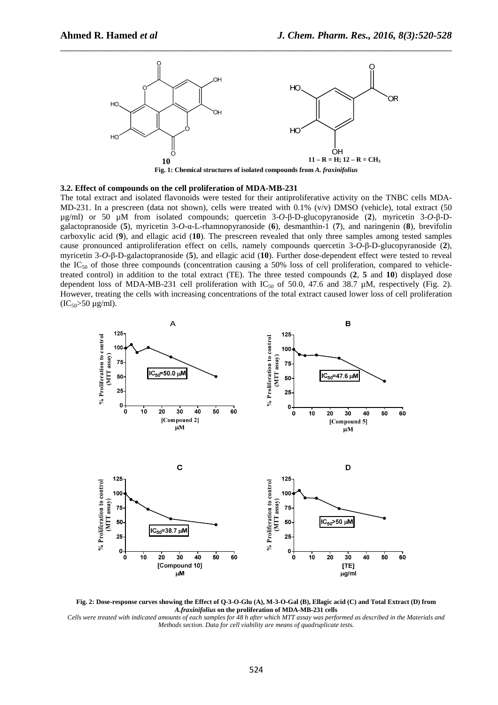

#### **3.2. Effect of compounds on the cell proliferation of MDA-MB-231**

The total extract and isolated flavonoids were tested for their antiproliferative activity on the TNBC cells MDA-MD-231. In a prescreen (data not shown), cells were treated with 0.1% (v/v) DMSO (vehicle), total extract (50 µg/ml) or 50 µM from isolated compounds; quercetin 3-*O*-β-D-glucopyranoside (**2**), myricetin 3-*O*-β-Dgalactopranoside (**5**), myricetin 3-*O*-α-L-rhamnopyranoside (**6**), desmanthin-1 (**7**), and naringenin (**8**), brevifolin carboxylic acid (**9**), and ellagic acid (**10**). The prescreen revealed that only three samples among tested samples cause pronounced antiproliferation effect on cells, namely compounds quercetin 3-*O*-β-D-glucopyranoside (**2**), myricetin 3-*O*-β-D-galactopranoside (**5**), and ellagic acid (**10**). Further dose-dependent effect were tested to reveal the  $IC_{50}$  of those three compounds (concentration causing a 50% loss of cell proliferation, compared to vehicletreated control) in addition to the total extract (TE). The three tested compounds (**2**, **5** and **10**) displayed dose dependent loss of MDA-MB-231 cell proliferation with  $IC_{50}$  of 50.0, 47.6 and 38.7 µM, respectively (Fig. 2). However, treating the cells with increasing concentrations of the total extract caused lower loss of cell proliferation  $(IC_{50} > 50 \mu g/ml)$ .



**Fig. 2: Dose-response curves showing the Effect of Q-3-O-Glu (A), M-3-O-Gal (B), Ellagic acid (C) and Total Extract (D) from**  *A.fraxinifolius* **on the proliferation of MDA-MB-231 cells**  *Cells were treated with indicated amounts of each samples for 48 h after which MTT assay was performed as described in the Materials and* 

*Methods section. Data for cell viability are means of quadruplicate tests.*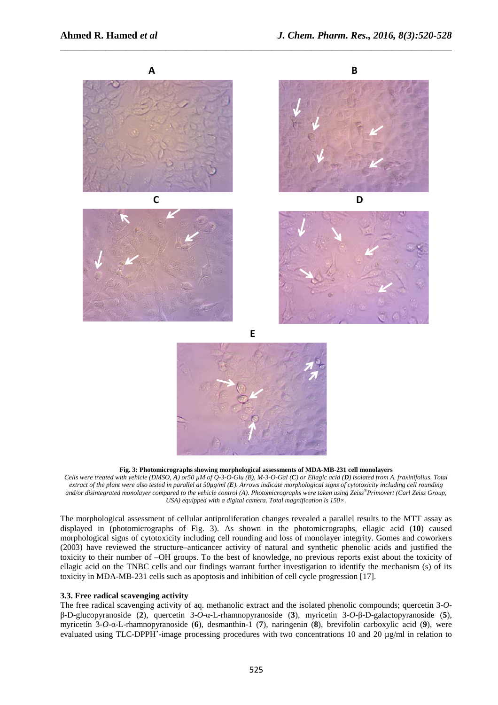

\_\_\_\_\_\_\_\_\_\_\_\_\_\_\_\_\_\_\_\_\_\_\_\_\_\_\_\_\_\_\_\_\_\_\_\_\_\_\_\_\_\_\_\_\_\_\_\_\_\_\_\_\_\_\_\_\_\_\_\_\_\_\_\_\_\_\_\_\_\_\_\_\_\_\_\_\_\_

#### **Fig. 3: Photomicrographs showing morphological assessments of MDA-MB-231 cell monolayers**

*Cells were treated with vehicle (DMSO, A) or50 µM of Q-3-O-Glu (B), M-3-O-Gal (C) or Ellagic acid (D) isolated from A. fraxinifolius. Total extract of the plant were also tested in parallel at 50µg/ml (E). Arrows indicate morphological signs of cytotoxicity including cell rounding and/or disintegrated monolayer compared to the vehicle control (A). Photomicrographs were taken using Zeiss®Primovert (Carl Zeiss Group, USA) equipped with a digital camera. Total magnification is 150×.* 

The morphological assessment of cellular antiproliferation changes revealed a parallel results to the MTT assay as displayed in (photomicrographs of Fig. 3). As shown in the photomicrographs, ellagic acid (**10**) caused morphological signs of cytotoxicity including cell rounding and loss of monolayer integrity. Gomes and coworkers (2003) have reviewed the structure–anticancer activity of natural and synthetic phenolic acids and justified the toxicity to their number of –OH groups. To the best of knowledge, no previous reports exist about the toxicity of ellagic acid on the TNBC cells and our findings warrant further investigation to identify the mechanism (s) of its toxicity in MDA-MB-231 cells such as apoptosis and inhibition of cell cycle progression [17].

# **3.3. Free radical scavenging activity**

The free radical scavenging activity of aq. methanolic extract and the isolated phenolic compounds; quercetin 3-*O*β-D-glucopyranoside (**2**), quercetin 3-*O*-α-L-rhamnopyranoside (**3**), myricetin 3-*O*-β-D-galactopyranoside (**5**), myricetin 3-*O*-α-L-rhamnopyranoside (**6**), desmanthin-1 (**7**), naringenin (**8**), brevifolin carboxylic acid (**9**), were evaluated using TLC-DPPH**˙**-image processing procedures with two concentrations 10 and 20 µg/ml in relation to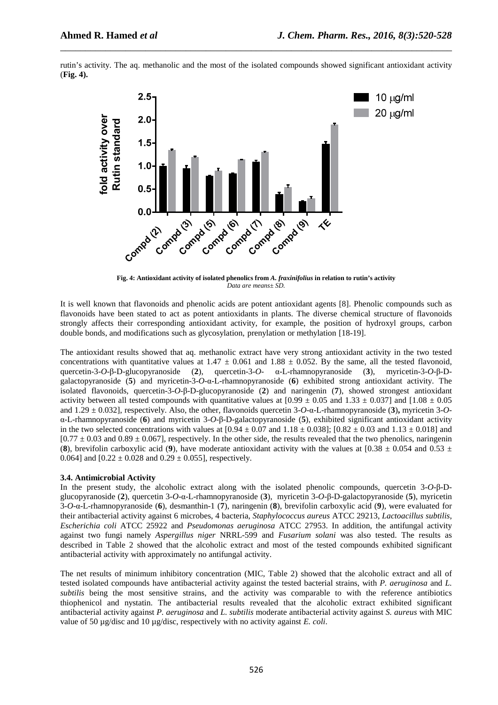rutin's activity. The aq. methanolic and the most of the isolated compounds showed significant antioxidant activity (**Fig. 4).** 

\_\_\_\_\_\_\_\_\_\_\_\_\_\_\_\_\_\_\_\_\_\_\_\_\_\_\_\_\_\_\_\_\_\_\_\_\_\_\_\_\_\_\_\_\_\_\_\_\_\_\_\_\_\_\_\_\_\_\_\_\_\_\_\_\_\_\_\_\_\_\_\_\_\_\_\_\_\_



**Fig. 4: Antioxidant activity of isolated phenolics from** *A. fraxinifolius* **in relation to rutin's activity**  *Data are means± SD.* 

It is well known that flavonoids and phenolic acids are potent antioxidant agents [8]. Phenolic compounds such as flavonoids have been stated to act as potent antioxidants in plants. The diverse chemical structure of flavonoids strongly affects their corresponding antioxidant activity, for example, the position of hydroxyl groups, carbon double bonds, and modifications such as glycosylation, prenylation or methylation [18-19].

The antioxidant results showed that aq. methanolic extract have very strong antioxidant activity in the two tested concentrations with quantitative values at  $1.47 \pm 0.061$  and  $1.88 \pm 0.052$ . By the same, all the tested flavonoid, quercetin-3-O- $\beta$ -D-glucopyranoside (2), quercetin-3-O- $\alpha$ -L-rhamnopyranoside (3), myricetin-3-O- $\beta$ quercetin-3-*O*-β-D-glucopyranoside (**2**), quercetin-3-*O*- α-L-rhamnopyranoside (**3**), myricetin-3-*O*-β-Dgalactopyranoside (**5**) and myricetin-3-*O*-α-L-rhamnopyranoside (**6**) exhibited strong antioxidant activity. The isolated flavonoids, quercetin-3-*O*-β-D-glucopyranoside (**2**) and naringenin (**7**), showed strongest antioxidant activity between all tested compounds with quantitative values at  $[0.99 \pm 0.05$  and  $1.33 \pm 0.037]$  and  $[1.08 \pm 0.05]$ and 1.29 ± 0.032], respectively. Also, the other, flavonoids quercetin 3-*O*-α-L-rhamnopyranoside (**3**)**,** myricetin 3-*O*α-L-rhamnopyranoside (**6**) and myricetin 3-*O*-β-D-galactopyranoside (**5**), exhibited significant antioxidant activity in the two selected concentrations with values at  $[0.94 \pm 0.07$  and  $1.18 \pm 0.038]$ ;  $[0.82 \pm 0.03$  and  $1.13 \pm 0.018]$  and  $[0.77 \pm 0.03$  and  $[0.89 \pm 0.067]$ , respectively. In the other side, the results revealed that the two phenolics, naringenin (8), brevifolin carboxylic acid (9), have moderate antioxidant activity with the values at  $[0.38 \pm 0.054$  and  $0.53 \pm 0.054$ 0.064] and  $[0.22 \pm 0.028$  and  $0.29 \pm 0.055$ ], respectively.

#### **3.4. Antimicrobial Activity**

In the present study, the alcoholic extract along with the isolated phenolic compounds, quercetin 3-*O*-β-Dglucopyranoside (**2**), quercetin 3-*O*-α-L-rhamnopyranoside (**3**), myricetin 3-*O*-β-D-galactopyranoside (**5**), myricetin 3-*O*-α-L-rhamnopyranoside (**6**), desmanthin-1 (**7**), naringenin (**8**), brevifolin carboxylic acid (**9**), were evaluated for their antibacterial activity against 6 microbes, 4 bacteria, *Staphylococcus aureus* ATCC 29213, *Lactoacillus subtilis*, *Escherichia coli* ATCC 25922 and *Pseudomonas aeruginosa* ATCC 27953. In addition, the antifungal activity against two fungi namely *Aspergillus niger* NRRL-599 and *Fusarium solani* was also tested. The results as described in Table 2 showed that the alcoholic extract and most of the tested compounds exhibited significant antibacterial activity with approximately no antifungal activity.

The net results of minimum inhibitory concentration (MIC, Table 2) showed that the alcoholic extract and all of tested isolated compounds have antibacterial activity against the tested bacterial strains, with *P. aeruginosa* and *L. subtilis* being the most sensitive strains, and the activity was comparable to with the reference antibiotics thiophenicol and nystatin. The antibacterial results revealed that the alcoholic extract exhibited significant antibacterial activity against *P. aeruginosa* and *L. subtilis* moderate antibacterial activity against *S. aureus* with MIC value of 50 µg/disc and 10 µg/disc, respectively with no activity against *E. coli*.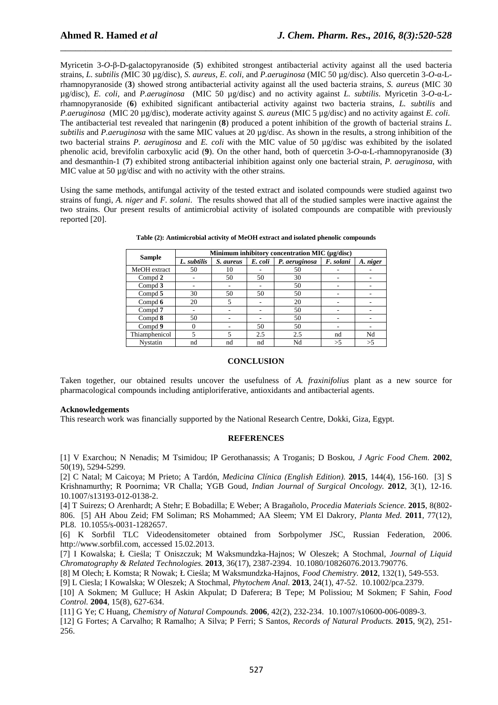Myricetin 3-*O*-β-D-galactopyranoside (**5**) exhibited strongest antibacterial activity against all the used bacteria strains, *L. subtilis (*MIC 30 µg/disc)*, S. aureus, E. coli,* and *P.aeruginosa* (MIC 50 µg/disc). Also quercetin 3-*O*-α-Lrhamnopyranoside (**3**) showed strong antibacterial activity against all the used bacteria strains, *S. aureus* (MIC 30 µg/disc)*, E. coli,* and *P.aeruginosa* (MIC 50 µg/disc) and no activity against *L. subtilis*. Myricetin 3-*O*-α-Lrhamnopyranoside (**6**) exhibited significant antibacterial activity against two bacteria strains, *L. subtilis* and *P.aeruginosa* (MIC 20 µg/disc), moderate activity against *S. aureus* (MIC 5 µg/disc) and no activity against *E. coli*. The antibacterial test revealed that naringenin (**8**) produced a potent inhibition of the growth of bacterial strains *L. subtilis* and *P.aeruginosa* with the same MIC values at 20 µg/disc. As shown in the results, a strong inhibition of the two bacterial strains *P. aeruginosa* and *E. coli* with the MIC value of 50 µg/disc was exhibited by the isolated phenolic acid, brevifolin carboxylic acid (**9**). On the other hand, both of quercetin 3-*O*-α-L-rhamnopyranoside (**3**) and desmanthin-1 (**7**) exhibited strong antibacterial inhibition against only one bacterial strain, *P. aeruginosa*, with MIC value at 50  $\mu$ g/disc and with no activity with the other strains.

\_\_\_\_\_\_\_\_\_\_\_\_\_\_\_\_\_\_\_\_\_\_\_\_\_\_\_\_\_\_\_\_\_\_\_\_\_\_\_\_\_\_\_\_\_\_\_\_\_\_\_\_\_\_\_\_\_\_\_\_\_\_\_\_\_\_\_\_\_\_\_\_\_\_\_\_\_\_

Using the same methods, antifungal activity of the tested extract and isolated compounds were studied against two strains of fungi, *A. niger* and *F. solani*. The results showed that all of the studied samples were inactive against the two strains. Our present results of antimicrobial activity of isolated compounds are compatible with previously reported [20].

| <b>Sample</b>      | Minimum inhibitory concentration MIC (µg/disc) |           |         |               |           |          |
|--------------------|------------------------------------------------|-----------|---------|---------------|-----------|----------|
|                    | L. subtilis                                    | S. aureus | E. coli | P. aeruginosa | F. solani | A. niger |
| MeOH extract       | 50                                             | 10        |         | 50            |           |          |
| Compd 2            |                                                | 50        | 50      | 30            |           |          |
| Compd $3$          |                                                |           |         | 50            |           |          |
| Compd 5            | 30                                             | 50        | 50      | 50            |           |          |
| Compd $6$          | 20                                             |           |         | 20            |           |          |
| Compd <sub>7</sub> |                                                |           |         | 50            |           |          |
| Compd 8            | 50                                             |           |         | 50            |           |          |
| Compd 9            | 0                                              |           | 50      | 50            |           |          |
| Thiamphenicol      |                                                | 5         | 2.5     | 2.5           | nd        | Nd       |
| Nystatin           | nd                                             | nd        | nd      | Nd            | >5        | >5       |

**Table (2): Antimicrobial activity of MeOH extract and isolated phenolic compounds** 

## **CONCLUSION**

Taken together, our obtained results uncover the usefulness of *A. fraxinifolius* plant as a new source for pharmacological compounds including antiploriferative, antioxidants and antibacterial agents.

## **Acknowledgements**

This research work was financially supported by the National Research Centre, Dokki, Giza, Egypt.

#### **REFERENCES**

[1] V Exarchou; N Nenadis; M Tsimidou; IP Gerothanassis; A Troganis; D Boskou, *J Agric Food Chem.* **2002**, 50(19), 5294-5299.

[2] C Natal; M Caicoya; M Prieto; A Tardón, *Medicina Clínica (English Edition).* **2015**, 144(4), 156-160. [3] S Krishnamurthy; R Poornima; VR Challa; YGB Goud, *Indian Journal of Surgical Oncology.* **2012**, 3(1), 12-16. 10.1007/s13193-012-0138-2.

[4] T Suirezs; O Arenhardt; A Stehr; E Bobadilla; E Weber; A Bragañolo, *Procedia Materials Science.* **2015**, 8(802- 806. [5] AH Abou Zeid; FM Soliman; RS Mohammed; AA Sleem; YM El Dakrory, *Planta Med.* **2011**, 77(12), PL8. 10.1055/s-0031-1282657.

[6] K Sorbfil TLC Videodensitometer obtained from Sorbpolymer JSC, Russian Federation, 2006. http://www.sorbfil.com, accessed 15.02.2013.

[7] I Kowalska; Ł Cieśla; T Oniszczuk; M Waksmundzka-Hajnos; W Oleszek; A Stochmal, *Journal of Liquid Chromatography & Related Technologies.* **2013**, 36(17), 2387-2394. 10.1080/10826076.2013.790776.

[8] M Olech; Ł Komsta; R Nowak; Ł Cieśla; M Waksmundzka-Hajnos, *Food Chemistry.* **2012**, 132(1), 549-553.

[9] L Ciesla; I Kowalska; W Oleszek; A Stochmal, *Phytochem Anal.* **2013**, 24(1), 47-52. 10.1002/pca.2379.

[10] A Sokmen; M Gulluce; H Askin Akpulat; D Daferera; B Tepe; M Polissiou; M Sokmen; F Sahin, *Food Control.* **2004**, 15(8), 627-634.

[11] G Ye; C Huang, *Chemistry of Natural Compounds.* **2006**, 42(2), 232-234. 10.1007/s10600-006-0089-3.

[12] G Fortes; A Carvalho; R Ramalho; A Silva; P Ferri; S Santos, *Records of Natural Products.* **2015**, 9(2), 251- 256.